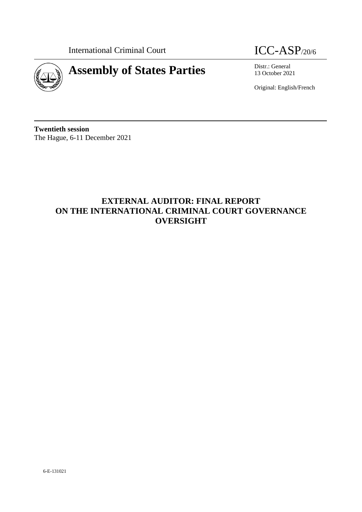International Criminal Court **ICC-ASP**/20/6





13 October 2021

Original: English/French

**Twentieth session** The Hague, 6-11 December 2021

# **EXTERNAL AUDITOR: FINAL REPORT ON THE INTERNATIONAL CRIMINAL COURT GOVERNANCE OVERSIGHT**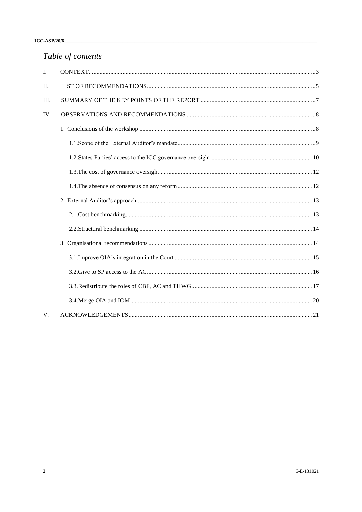# Table of contents

| I.      |  |
|---------|--|
| $\Pi$ . |  |
| III.    |  |
| IV.     |  |
|         |  |
|         |  |
|         |  |
|         |  |
|         |  |
|         |  |
|         |  |
|         |  |
|         |  |
|         |  |
|         |  |
|         |  |
|         |  |
| V.      |  |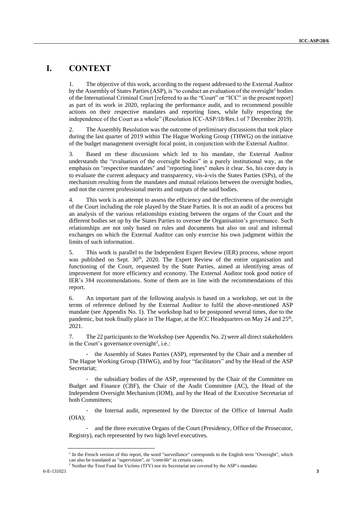### <span id="page-2-0"></span>**I. CONTEXT**

1. The objective of this work, according to the request addressed to the External Auditor by the Assembly of States Parties (ASP), is "to conduct an evaluation of the oversight<sup>1</sup> bodies of the International Criminal Court [referred to as the "Court" or "ICC" in the present report] as part of its work in 2020, replacing the performance audit, and to recommend possible actions on their respective mandates and reporting lines, while fully respecting the independence of the Court as a whole" (Resolution ICC-ASP/18/Res.1 of 7 December 2019).

2. The Assembly Resolution was the outcome of preliminary discussions that took place during the last quarter of 2019 within The Hague Working Group (THWG) on the initiative of the budget management oversight focal point, in conjunction with the External Auditor.

3. Based on these discussions which led to his mandate, the External Auditor understands the "evaluation of the oversight bodies" in a purely institutional way, as the emphasis on "respective mandates" and "reporting lines" makes it clear. So, his core duty is to evaluate the current adequacy and transparency, vis-à-vis the States Parties (SPs), of the mechanism resulting from the mandates and mutual relations between the oversight bodies, and not the current professional merits and outputs of the said bodies.

4. This work is an attempt to assess the efficiency and the effectiveness of the oversight of the Court including the role played by the State Parties. It is not an audit of a process but an analysis of the various relationships existing between the organs of the Court and the different bodies set up by the States Parties to oversee the Organisation's governance. Such relationships are not only based on rules and documents but also on oral and informal exchanges on which the External Auditor can only exercise his own judgment within the limits of such information.

5. This work is parallel to the Independent Expert Review (IER) process, whose report was published on Sept.  $30<sup>th</sup>$ ,  $2020$ . The Expert Review of the entire organisation and functioning of the Court, requested by the State Parties, aimed at identifying areas of improvement for more efficiency and economy. The External Auditor took good notice of IER's 384 recommendations. Some of them are in line with the recommendations of this report.

6. An important part of the following analysis is based on a workshop, set out in the terms of reference defined by the External Auditor to fulfil the above-mentioned ASP mandate (see Appendix No. 1). The workshop had to be postponed several times, due to the pandemic, but took finally place in The Hague, at the ICC Headquarters on May 24 and 25<sup>th</sup>, 2021.

7. The 22 participants to the Workshop (see Appendix No. 2) were all direct stakeholders in the Court's governance oversight<sup>2</sup>, i.e.:

- the Assembly of States Parties (ASP), represented by the Chair and a member of The Hague Working Group (THWG), and by four "facilitators" and by the Head of the ASP Secretariat;

- the subsidiary bodies of the ASP, represented by the Chair of the Committee on Budget and Finance (CBF), the Chair of the Audit Committee (AC), the Head of the Independent Oversight Mechanism (IOM), and by the Head of the Executive Secretariat of both Committees;

the Internal audit, represented by the Director of the Office of Internal Audit  $(OIA)$ ;

- and the three executive Organs of the Court (Presidency, Office of the Prosecutor, Registry), each represented by two high level executives.

<sup>&</sup>lt;sup>1</sup> In the French version of this report, the word "surveillance" corresponds to the English term "Oversight", which can also be translated as "*supervision*", or "*contrôle*" in certain cases.

<sup>6-</sup>E-131021 **3** <sup>2</sup> Neither the Trust Fund for Victims (TFV) nor its Secretariat are covered by the ASP's mandate.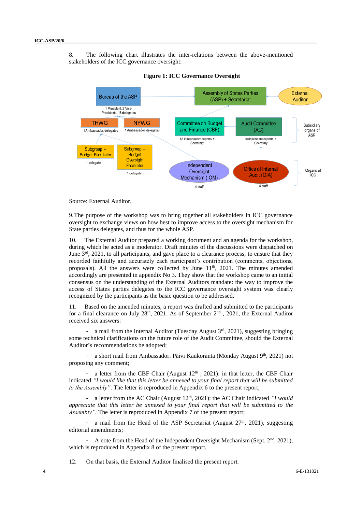8. The following chart illustrates the inter-relations between the above-mentioned stakeholders of the ICC governance oversight:



**Figure 1: ICC Governance Oversight**

Source: External Auditor.

9.The purpose of the workshop was to bring together all stakeholders in ICC governance oversight to exchange views on how best to improve access to the oversight mechanism for State parties delegates, and thus for the whole ASP.

10. The External Auditor prepared a working document and an agenda for the workshop, during which he acted as a moderator. Draft minutes of the discussions were dispatched on June  $3<sup>rd</sup>$ , 2021, to all participants, and gave place to a clearance process, to ensure that they recorded faithfully and accurately each participant's contribution (comments, objections, proposals). All the answers were collected by June 11<sup>th</sup>, 2021. The minutes amended accordingly are presented in appendix No 3. They show that the workshop came to an initial consensus on the understanding of the External Auditors mandate: the way to improve the access of States parties delegates to the ICC governance oversight system was clearly recognized by the participants as the basic question to be addressed.

11. Based on the amended minutes, a report was drafted and submitted to the participants for a final clearance on July 28<sup>th</sup>, 2021. As of September  $2<sup>nd</sup>$ , 2021, the External Auditor received six answers:

a mail from the Internal Auditor (Tuesday August 3rd, 2021), suggesting bringing some technical clarifications on the future role of the Audit Committee, should the External Auditor's recommendations be adopted;

a short mail from Ambassador. Päivi Kaukoranta (Monday August 9<sup>th</sup>, 2021) not proposing any comment;

a letter from the CBF Chair (August  $12<sup>th</sup>$ , 2021): in that letter, the CBF Chair indicated *"I would like that this letter be annexed to your final report that will be submitted to the Assembly"*. The letter is reproduced in Appendix 6 to the present report;

- a letter from the AC Chair (August 12<sup>th</sup>, 2021): the AC Chair indicated *"I would appreciate that this letter be annexed to your final report that will be submitted to the Assembly".* The letter is reproduced in Appendix 7 of the present report;

- a mail from the Head of the ASP Secretariat (August  $27<sup>th</sup>$ , 2021), suggesting editorial amendments;

A note from the Head of the Independent Oversight Mechanism (Sept.  $2<sup>nd</sup>$ , 2021), which is reproduced in Appendix 8 of the present report.

12. On that basis, the External Auditor finalised the present report.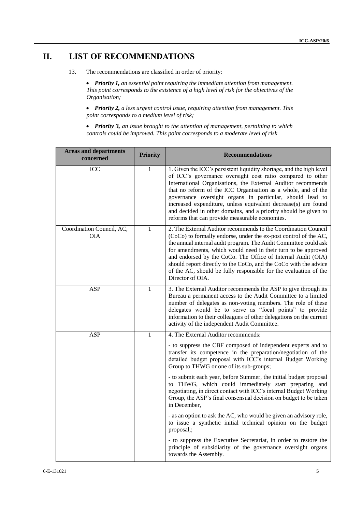## <span id="page-4-0"></span>**II. LIST OF RECOMMENDATIONS**

13. The recommendations are classified in order of priority:

 *Priority 1, an essential point requiring the immediate attention from management. This point corresponds to the existence of a high level of risk for the objectives of the Organisation;*

 *Priority 2, a less urgent control issue, requiring attention from management. This point corresponds to a medium level of risk;*

 *Priority 3, an issue brought to the attention of management, pertaining to which controls could be improved. This point corresponds to a moderate level of risk*

| <b>Areas and departments</b><br>concerned | <b>Priority</b> | <b>Recommendations</b>                                                                                                                                                                                                                                                                                                                                                                                                                                                                                                  |
|-------------------------------------------|-----------------|-------------------------------------------------------------------------------------------------------------------------------------------------------------------------------------------------------------------------------------------------------------------------------------------------------------------------------------------------------------------------------------------------------------------------------------------------------------------------------------------------------------------------|
| <b>ICC</b>                                | 1               | 1. Given the ICC's persistent liquidity shortage, and the high level<br>of ICC's governance oversight cost ratio compared to other<br>International Organisations, the External Auditor recommends<br>that no reform of the ICC Organisation as a whole, and of the<br>governance oversight organs in particular, should lead to<br>increased expenditure, unless equivalent decrease(s) are found<br>and decided in other domains, and a priority should be given to<br>reforms that can provide measurable economies. |
| Coordination Council, AC,<br><b>OIA</b>   | 1               | 2. The External Auditor recommends to the Coordination Council<br>(CoCo) to formally endorse, under the ex-post control of the AC,<br>the annual internal audit program. The Audit Committee could ask<br>for amendments, which would need in their turn to be approved<br>and endorsed by the CoCo. The Office of Internal Audit (OIA)<br>should report directly to the CoCo, and the CoCo with the advice<br>of the AC, should be fully responsible for the evaluation of the<br>Director of OIA.                     |
| ASP                                       | 1               | 3. The External Auditor recommends the ASP to give through its<br>Bureau a permanent access to the Audit Committee to a limited<br>number of delegates as non-voting members. The role of these<br>delegates would be to serve as "focal points" to provide<br>information to their colleagues of other delegations on the current<br>activity of the independent Audit Committee.                                                                                                                                      |
| ASP                                       | $\mathbf{1}$    | 4. The External Auditor recommends:<br>- to suppress the CBF composed of independent experts and to<br>transfer its competence in the preparation/negotiation of the<br>detailed budget proposal with ICC's internal Budget Working<br>Group to THWG or one of its sub-groups;<br>- to submit each year, before Summer, the initial budget proposal                                                                                                                                                                     |
|                                           |                 | to THWG, which could immediately start preparing and<br>negotiating, in direct contact with ICC's internal Budget Working<br>Group, the ASP's final consensual decision on budget to be taken<br>in December.<br>- as an option to ask the AC, who would be given an advisory role,<br>to issue a synthetic initial technical opinion on the budget<br>proposal,;                                                                                                                                                       |
|                                           |                 | - to suppress the Executive Secretariat, in order to restore the<br>principle of subsidiarity of the governance oversight organs<br>towards the Assembly.                                                                                                                                                                                                                                                                                                                                                               |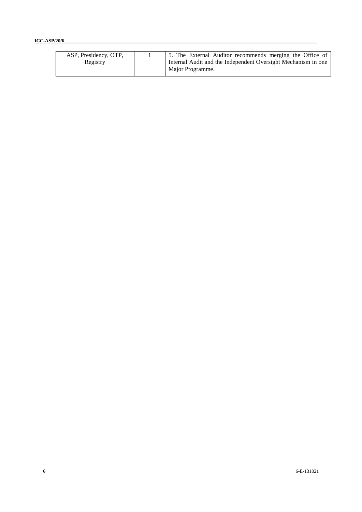### **ICC-ASP/20/6\_\_\_\_\_\_\_\_\_\_\_\_\_\_\_\_\_\_\_\_\_\_\_\_\_\_\_\_\_\_\_\_\_\_\_\_\_\_\_\_\_\_\_\_\_\_\_\_\_\_\_\_\_\_\_\_\_\_\_\_\_\_\_\_\_\_\_\_\_\_\_\_\_\_\_\_\_\_\_\_\_\_\_\_\_\_\_\_\_\_\_\_\_\_\_\_\_\_\_\_\_\_\_\_**

| ASP, Presidency, OTP, | 5. The External Auditor recommends merging the Office of      |  |  |
|-----------------------|---------------------------------------------------------------|--|--|
| Registry              | Internal Audit and the Independent Oversight Mechanism in one |  |  |
|                       | Major Programme.                                              |  |  |
|                       |                                                               |  |  |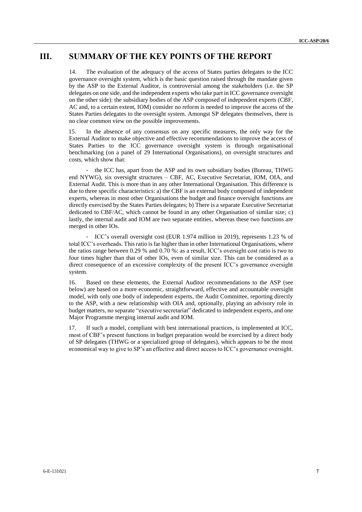### <span id="page-6-0"></span>**III. SUMMARY OF THE KEY POINTS OF THE REPORT**

14. The evaluation of the adequacy of the access of States parties delegates to the ICC governance oversight system, which is the basic question raised through the mandate given by the ASP to the External Auditor, is controversial among the stakeholders (i.e. the SP delegates on one side, and the independent experts who take part in ICC governance oversight on the other side): the subsidiary bodies of the ASP composed of independent experts (CBF, AC and, to a certain extent, IOM) consider no reform is needed to improve the access of the States Parties delegates to the oversight system. Amongst SP delegates themselves, there is no clear common view on the possible improvements.

15. In the absence of any consensus on any specific measures, the only way for the External Auditor to make objective and effective recommendations to improve the access of States Parties to the ICC governance oversight system is through organisational benchmarking (on a panel of 29 International Organisations), on oversight structures and costs, which show that:

- the ICC has, apart from the ASP and its own subsidiary bodies (Bureau, THWG end NYWG), six oversight structures – CBF, AC, Executive Secretariat, IOM, OIA, and External Audit. This is more than in any other International Organisation. This difference is due to three specific characteristics: a) the CBF is an external body composed of independent experts, whereas in most other Organisations the budget and finance oversight functions are directly exercised by the States Parties delegates; b) There is a separate Executive Secretariat dedicated to CBF/AC, which cannot be found in any other Organisation of similar size; c) lastly, the internal audit and IOM are two separate entities, whereas these two functions are merged in other IOs.

ICC's overall oversight cost (EUR 1.974 million in 2019), represents 1.23 % of total ICC's overheads. This ratio is far higher than in other International Organisations, where the ratios range between 0.29 % and 0.70 %: as a result, ICC's oversight cost ratio is two to four times higher than that of other IOs, even of similar size. This can be considered as a direct consequence of an excessive complexity of the present ICC's governance oversight system.

16. Based on these elements, the External Auditor recommendations to the ASP (see below) are based on a more economic, straightforward, effective and accountable oversight model, with only one body of independent experts, the Audit Committee, reporting directly to the ASP, with a new relationship with OIA and, optionally, playing an advisory role in budget matters, no separate "executive secretariat" dedicated to independent experts, and one Major Programme merging internal audit and IOM.

17. If such a model, compliant with best international practices, is implemented at ICC, most of CBF's present functions in budget preparation would be exercised by a direct body of SP delegates (THWG or a specialized group of delegates), which appears to be the most economical way to give to SP's an effective and direct access to ICC's governance oversight.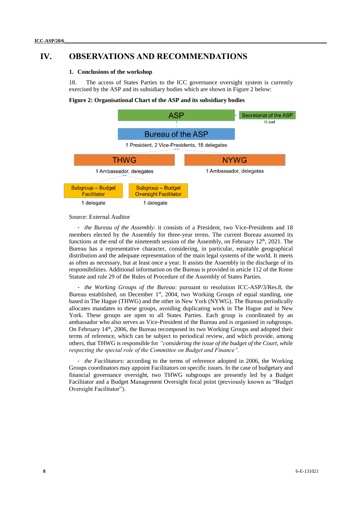### <span id="page-7-1"></span><span id="page-7-0"></span>**IV. OBSERVATIONS AND RECOMMENDATIONS**

#### **1. Conclusions of the workshop**

18. The access of States Parties to the ICC governance oversight system is currently exercised by the ASP and its subsidiary bodies which are shown in Figure 2 below:

#### **Figure 2: Organisational Chart of the ASP and its subsidiary bodies**



#### Source: External Auditor

- *the Bureau of the Assembly*: it consists of a President, two Vice-Presidents and 18 members elected by the Assembly for three-year terms. The current Bureau assumed its functions at the end of the nineteenth session of the Assembly, on February 12<sup>th</sup>, 2021. The Bureau has a representative character, considering, in particular, equitable geographical distribution and the adequate representation of the main legal systems of the world. It meets as often as necessary, but at least once a year. It assists the Assembly in the discharge of its responsibilities. Additional information on the Bureau is provided in article 112 of the Rome Statute and rule 29 of the Rules of Procedure of the Assembly of States Parties.

- *[the Working Groups of the Bureau](https://asp.icc-cpi.int/en_menus/asp/bureau/WorkingGroups/Pages/default.aspx)*: pursuant to resolution ICC-ASP/3/Res.8, the Bureau established, on December 1<sup>st</sup>, 2004, two Working Groups of equal standing, one based in The Hague (THWG) and the other in New York (NYWG). The Bureau periodically allocates mandates to these groups, avoiding duplicating work in The Hague and in New York. These groups are open to all States Parties. Each group is coordinated by an ambassador who also serves as Vice-President of the Bureau and is organised in subgroups. On February 14<sup>th</sup>, 2006, the Bureau recomposed its two Working Groups and adopted their terms of reference, which can be subject to periodical review, and which provide, among others, that THWG is responsible for *"considering the issue of the budget of the Court, while respecting the special role of the Committee on Budget and Finance".*

- *the Facilitators*: according to the terms of reference adopted in 2006, the Working Groups coordinators may appoint Facilitators on specific issues. In the case of budgetary and financial governance oversight, two THWG subgroups are presently led by a Budget Facilitator and a Budget Management Oversight focal point (previously known as "Budget Oversight Facilitator").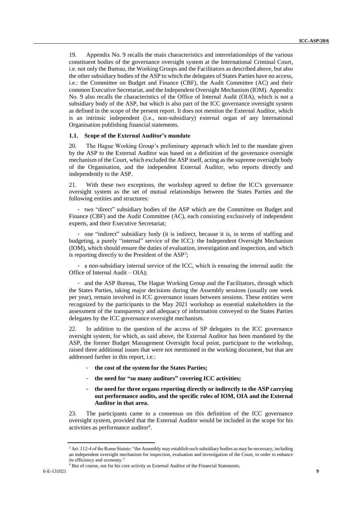19. Appendix No. 9 recalls the main characteristics and interrelationships of the various constituent bodies of the governance oversight system at the International Criminal Court, i.e. not only the Bureau, the Working Groups and the Facilitators as described above, but also the other subsidiary bodies of the ASP to which the delegates of States Parties have no access, i.e.: the Committee on Budget and Finance (CBF), the Audit Committee (AC) and their common Executive Secretariat, and the Independent Oversight Mechanism (IOM). Appendix No. 9 also recalls the characteristics of the Office of Internal Audit (OIA), which is not a subsidiary body of the ASP, but which is also part of the ICC governance oversight system as defined in the scope of the present report. It does not mention the External Auditor, which is an intrinsic independent (i.e., non-subsidiary) external organ of any International Organisation publishing financial statements.

#### <span id="page-8-0"></span>**1.1. Scope of the External Auditor's mandate**

20. The Hague Working Group's preliminary approach which led to the mandate given by the ASP to the External Auditor was based on a definition of the governance oversight mechanism of the Court, which excluded the ASP itself, acting as the supreme oversight body of the Organisation, and the independent External Auditor, who reports directly and independently to the ASP.

21. With these two exceptions, the workshop agreed to define the ICC's governance oversight system as the set of mutual relationships between the States Parties and the following entities and structures:

- two "direct" subsidiary bodies of the ASP which are the Committee on Budget and Finance (CBF) and the Audit Committee (AC), each consisting exclusively of independent experts, and their Executive Secretariat;

- one "indirect" subsidiary body (it is indirect, because it is, in terms of staffing and budgeting, a purely "internal" service of the ICC): the Independent Oversight Mechanism (IOM), which should ensure the duties of evaluation, investigation and inspection, and which is reporting directly to the President of the ASP<sup>3</sup>;

- a non-subsidiary internal service of the ICC, which is ensuring the internal audit: the Office of Internal Audit – OIA);

- and the ASP Bureau, The Hague Working Group and the Facilitators, through which the States Parties, taking major decisions during the Assembly sessions (usually one week per year), remain involved in ICC governance issues between sessions. These entities were recognized by the participants to the May 2021 workshop as essential stakeholders in the assessment of the transparency and adequacy of information conveyed to the States Parties delegates by the ICC governance oversight mechanism.

22. In addition to the question of the access of SP delegates to the ICC governance oversight system, for which, as said above, the External Auditor has been mandated by the ASP, the former Budget Management Oversight focal point, participant to the workshop, raised three additional issues that were not mentioned in the working document, but that are addressed further in this report, i.e.:

- the cost of the system for the States Parties;
- **the need for "so many auditors" covering ICC activities;**
- **the need for three organs reporting directly or indirectly to the ASP carrying out performance audits, and the specific roles of IOM, OIA and the External Auditor in that area.**

23. The participants came to a consensus on this definition of the ICC governance oversight system, provided that the External Auditor would be included in the scope for his activities as performance auditor<sup>4</sup>.

<sup>&</sup>lt;sup>3</sup> Art. 112-4 of the Rome Statute: "the Assembly may establish such subsidiary bodies as may be necessary, including an independent oversight mechanism for inspection, evaluation and investigation of the Court, in order to enhance its efficiency and economy."

<sup>&</sup>lt;sup>4</sup> But of course, not for his core activity as External Auditor of the Financial Statements.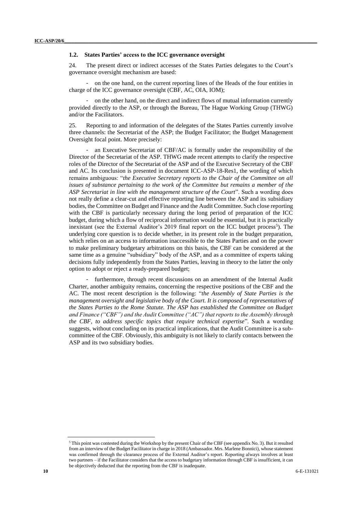#### <span id="page-9-0"></span>**1.2. States Parties' access to the ICC governance oversight**

24. The present direct or indirect accesses of the States Parties delegates to the Court's governance oversight mechanism are based:

- on the one hand, on the current reporting lines of the Heads of the four entities in charge of the ICC governance oversight (CBF, AC, OIA, IOM);

- on the other hand, on the direct and indirect flows of mutual information currently provided directly to the ASP, or through the Bureau, The Hague Working Group (THWG) and/or the Facilitators.

25. Reporting to and information of the delegates of the States Parties currently involve three channels: the Secretariat of the ASP; the Budget Facilitator; the Budget Management Oversight focal point. More precisely:

an Executive Secretariat of CBF/AC is formally under the responsibility of the Director of the Secretariat of the ASP. THWG made recent attempts to clarify the respective roles of the Director of the Secretariat of the ASP and of the Executive Secretary of the CBF and AC. Its conclusion is presented in document ICC-ASP-18-Res1, the wording of which remains ambiguous: "*the Executive Secretary reports to the Chair of the Committee on all issues of substance pertaining to the work of the Committee but remains a member of the ASP Secretariat in line with the management structure of the Court*". Such a wording does not really define a clear-cut and effective reporting line between the ASP and its subsidiary bodies, the Committee on Budget and Finance and the Audit Committee. Such close reporting with the CBF is particularly necessary during the long period of preparation of the ICC budget, during which a flow of reciprocal information would be essential, but it is practically inexistant (see the External Auditor's 2019 final report on the ICC budget process<sup>5</sup>). The underlying core question is to decide whether, in its present role in the budget preparation, which relies on an access to information inaccessible to the States Parties and on the power to make preliminary budgetary arbitrations on this basis, the CBF can be considered at the same time as a genuine "subsidiary" body of the ASP, and as a committee of experts taking decisions fully independently from the States Parties, leaving in theory to the latter the only option to adopt or reject a ready-prepared budget;

furthermore, through recent discussions on an amendment of the Internal Audit Charter, another ambiguity remains, concerning the respective positions of the CBF and the AC. The most recent description is the following: "*the Assembly of State Parties is the management oversight and legislative body of the Court. It is composed of representatives of the States Parties to the Rome Statute. The ASP has established the Committee on Budget and Finance ("CBF") and the Audit Committee ("AC") that reports to the Assembly through the CBF, to address specific topics that require technical expertise*". Such a wording suggests, without concluding on its practical implications, that the Audit Committee is a subcommittee of the CBF. Obviously, this ambiguity is not likely to clarify contacts between the ASP and its two subsidiary bodies.

<sup>5</sup> This point was contested during the Workshop by the present Chair of the CBF (see appendix No. 3). But it resulted from an interview of the Budget Facilitator in charge in 2018 (Ambassador. Mrs. Marlene Bonnici), whose statement was confirmed through the clearance process of the External Auditor's report. Reporting always involves at least two partners – if the Facilitator considers that the access to budgetary information through CBF is insufficient, it can be objectively deducted that the reporting from the CBF is inadequate.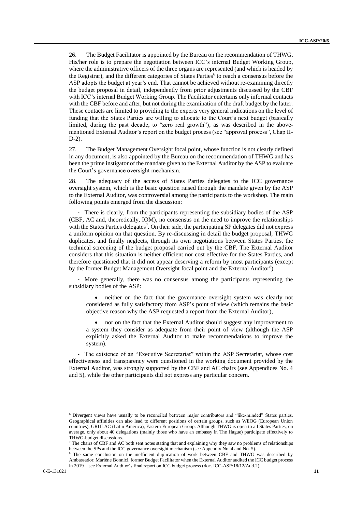26. The Budget Facilitator is appointed by the Bureau on the recommendation of THWG. His/her role is to prepare the negotiation between ICC's internal Budget Working Group, where the administrative officers of the three organs are represented (and which is headed by the Registrar), and the different categories of States Parties<sup>6</sup> to reach a consensus before the ASP adopts the budget at year's end. That cannot be achieved without re-examining directly the budget proposal in detail, independently from prior adjustments discussed by the CBF with ICC's internal Budget Working Group. The Facilitator entertains only informal contacts with the CBF before and after, but not during the examination of the draft budget by the latter. These contacts are limited to providing to the experts very general indications on the level of funding that the States Parties are willing to allocate to the Court's next budget (basically limited, during the past decade, to "zero real growth"), as was described in the abovementioned External Auditor's report on the budget process (see "approval process", Chap II-D-2).

27. The Budget Management Oversight focal point, whose function is not clearly defined in any document, is also appointed by the Bureau on the recommendation of THWG and has been the prime instigator of the mandate given to the External Auditor by the ASP to evaluate the Court's governance oversight mechanism.

28. The adequacy of the access of States Parties delegates to the ICC governance oversight system, which is the basic question raised through the mandate given by the ASP to the External Auditor, was controversial among the participants to the workshop. The main following points emerged from the discussion:

- There is clearly, from the participants representing the subsidiary bodies of the ASP (CBF, AC and, theoretically, IOM), no consensus on the need to improve the relationships with the States Parties delegates<sup>7</sup>. On their side, the participating SP delegates did not express a uniform opinion on that question. By re-discussing in detail the budget proposal, THWG duplicates, and finally neglects, through its own negotiations between States Parties, the technical screening of the budget proposal carried out by the CBF. The External Auditor considers that this situation is neither efficient nor cost effective for the States Parties, and therefore questioned that it did not appear deserving a reform by most participants (except by the former Budget Management Oversight focal point and the External Auditor<sup>8</sup>).

- More generally, there was no consensus among the participants representing the subsidiary bodies of the ASP:

 neither on the fact that the governance oversight system was clearly not considered as fully satisfactory from ASP's point of view (which remains the basic objective reason why the ASP requested a report from the External Auditor),

 nor on the fact that the External Auditor should suggest any improvement to a system they consider as adequate from their point of view (although the ASP explicitly asked the External Auditor to make recommendations to improve the system).

- The existence of an "Executive Secretariat" within the ASP Secretariat, whose cost effectiveness and transparency were questioned in the working document provided by the External Auditor, was strongly supported by the CBF and AC chairs (see Appendices No. 4 and 5), while the other participants did not express any particular concern.

<sup>6</sup> Divergent views have usually to be reconciled between major contributors and "like-minded" States parties. Geographical affinities can also lead to different positions of certain groups, such as WEOG (European Union countries), GRULAC (Latin America), Eastern European Group. Although THWG is open to all States Parties, on average, only about 40 delegations (mainly those who have an embassy in The Hague) participate effectively to THWG-budget discussions.

<sup>7</sup> The chairs of CBF and AC both sent notes stating that and explaining why they saw no problems of relationships between the SPs and the ICC governance oversight mechanism (see Appendix No. 4 and No. 5).

<sup>8</sup> The same conclusion on the inefficient duplication of work between CBF and THWG was described by Ambassador. Marlène Bonnici, former Budget Facilitator when the External Auditor audited the ICC budget process in 2019 – see External Auditor's final report on ICC budget process (doc. ICC-ASP/18/12/Add.2).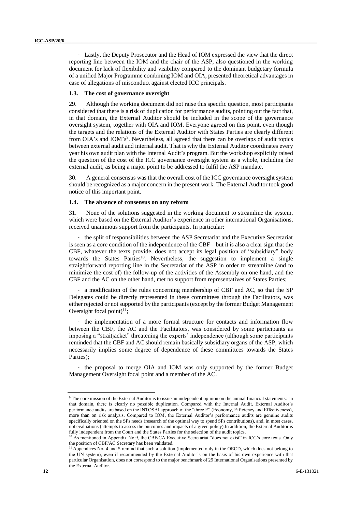- Lastly, the Deputy Prosecutor and the Head of IOM expressed the view that the direct reporting line between the IOM and the chair of the ASP, also questioned in the working document for lack of flexibility and visibility compared to the dominant budgetary formula of a unified Major Programme combining IOM and OIA, presented theoretical advantages in case of allegations of misconduct against elected ICC principals.

#### <span id="page-11-0"></span>**1.3. The cost of governance oversight**

29. Although the working document did not raise this specific question, most participants considered that there is a risk of duplication for performance audits, pointing out the fact that, in that domain, the External Auditor should be included in the scope of the governance oversight system, together with OIA and IOM. Everyone agreed on this point, even though the targets and the relations of the External Auditor with States Parties are clearly different from OIA's and IOM's<sup>9</sup>. Nevertheless, all agreed that there can be overlaps of audit topics between external audit and internal audit. That is why the External Auditor coordinates every year his own audit plan with the Internal Audit's program. But the workshop explicitly raised the question of the cost of the ICC governance oversight system as a whole, including the external audit, as being a major point to be addressed to fulfil the ASP mandate.

30. A general consensus was that the overall cost of the ICC governance oversight system should be recognized as a major concern in the present work. The External Auditor took good notice of this important point.

#### <span id="page-11-1"></span>**1.4. The absence of consensus on any reform**

31. None of the solutions suggested in the working document to streamline the system, which were based on the External Auditor's experience in other international Organisations, received unanimous support from the participants. In particular:

- the split of responsibilities between the ASP Secretariat and the Executive Secretariat is seen as a core condition of the independence of the CBF – but it is also a clear sign that the CBF, whatever the texts provide, does not accept its legal position of "subsidiary" body towards the States Parties<sup>10</sup>. Nevertheless, the suggestion to implement a single straightforward reporting line in the Secretariat of the ASP in order to streamline (and to minimize the cost of) the follow-up of the activities of the Assembly on one hand, and the CBF and the AC on the other hand, met no support from representatives of States Parties;

- a modification of the rules concerning membership of CBF and AC, so that the SP Delegates could be directly represented in these committees through the Facilitators, was either rejected or not supported by the participants (except by the former Budget Management Oversight focal point) $^{11}$ ;

- the implementation of a more formal structure for contacts and information flow between the CBF, the AC and the Facilitators, was considered by some participants as imposing a "straitjacket" threatening the experts' independence (although some participants reminded that the CBF and AC should remain basically subsidiary organs of the ASP, which necessarily implies some degree of dependence of these committees towards the States Parties);

- the proposal to merge OIA and IOM was only supported by the former Budget Management Oversight focal point and a member of the AC.

<sup>9</sup> The core mission of the External Auditor is to issue an independent opinion on the annual financial statements: in that domain, there is clearly no possible duplication. Compared with the Internal Audit, External Auditor's performance audits are based on the INTOSAI approach of the "three E" (Economy, Efficiency and Effectiveness), more than on risk analysis. Compared to IOM, the External Auditor's performance audits are genuine audits specifically oriented on the SPs needs (research of the optimal way to spend SPs contributions), and, in most cases, not evaluations (attempts to assess the outcomes and impacts of a given policy).In addition, the External Auditor is fully independent from the Court and the States Parties for the selection of the audit topics.

<sup>&</sup>lt;sup>10</sup> As mentioned in Appendix No.9, the CBF/CA Executive Secretariat "does not exist" in ICC's core texts. Only the position of CBF/AC Secretary has been validated.

<sup>&</sup>lt;sup>11</sup> Appendices No. 4 and 5 remind that such a solution (implemented only in the OECD, which does not belong to the UN system), even if recommended by the External Auditor's on the basis of his own experience with that particular Organisation, does not correspond to the major benchmark of 29 International Organisations presented by the External Auditor.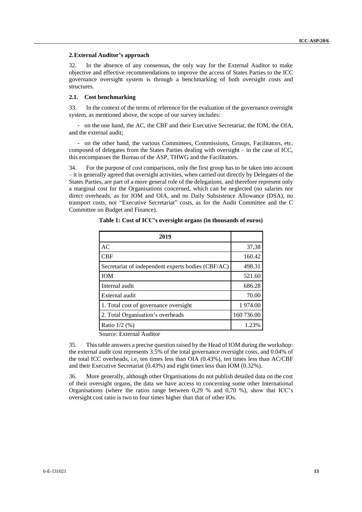#### <span id="page-12-0"></span>**2.External Auditor's approach**

32. In the absence of any consensus, the only way for the External Auditor to make objective and effective recommendations to improve the access of States Parties to the ICC governance oversight system is through a benchmarking of both oversight costs and structures.

#### <span id="page-12-1"></span>**2.1. Cost benchmarking**

33. In the context of the terms of reference for the evaluation of the governance oversight system, as mentioned above, the scope of our survey includes:

- on the one hand, the AC, the CBF and their Executive Secretariat, the IOM, the OIA, and the external audit;

- on the other hand, the various Committees, Commissions, Groups, Facilitators, etc. composed of delegates from the States Parties dealing with oversight – in the case of ICC, this encompasses the Bureau of the ASP, THWG and the Facilitators.

34. For the purpose of cost comparisons, only the first group has to be taken into account – it is generally agreed that oversight activities, when carried out directly by Delegates of the States Parties, are part of a more general role of the delegations, and therefore represent only a marginal cost for the Organisations concerned, which can be neglected (no salaries nor direct overheads, as for IOM and OIA, and no Daily Subsistence Allowance (DSA), no transport costs, nor "Executive Secretariat" costs, as for the Audit Committee and the C Committee on Budget and Finance).

| 2019                                               |            |
|----------------------------------------------------|------------|
| AC                                                 | 37,38      |
| <b>CBF</b>                                         | 160.42     |
| Secretariat of independent experts bodies (CBF/AC) | 498.31     |
| <b>IOM</b>                                         | 521.60     |
| Internal audit                                     | 686.28     |
| External audit                                     | 70.00      |
| 1. Total cost of governance oversight              | 1 974.00   |
| 2. Total Organisation's overheads                  | 160 736.00 |
| Ratio $1/2$ (%)                                    | 1.23%      |

**Table 1: Cost of ICC's oversight organs (in thousands of euros)**

Source: External Auditor

35. This table answers a precise question raised by the Head of IOM during the workshop: the external audit cost represents 3.5% of the total governance oversight costs, and 0.04% of the total ICC overheads, i.e, ten times less than OIA (0.43%), ten times less than AC/CBF and their Executive Secretariat (0.43%) and eight times less than IOM (0.32%).

36. More generally, although other Organisations do not publish detailed data on the cost of their oversight organs, the data we have access to concerning some other International Organisations (where the ratios range between 0,29 % and 0,70 %), show that ICC's oversight cost ratio is two to four times higher than that of other IOs.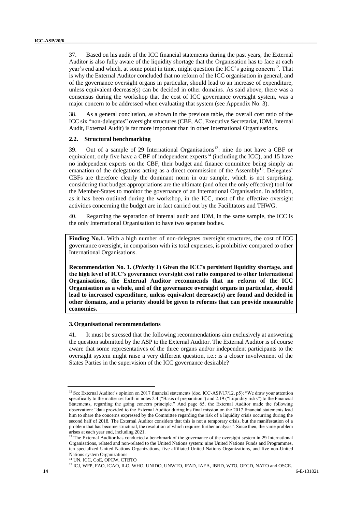37. Based on his audit of the ICC financial statements during the past years, the External Auditor is also fully aware of the liquidity shortage that the Organisation has to face at each year's end and which, at some point in time, might question the ICC's going concern<sup>12</sup>. That is why the External Auditor concluded that no reform of the ICC organisation in general, and of the governance oversight organs in particular, should lead to an increase of expenditure, unless equivalent decrease(s) can be decided in other domains. As said above, there was a consensus during the workshop that the cost of ICC governance oversight system, was a major concern to be addressed when evaluating that system (see Appendix No. 3).

38. As a general conclusion, as shown in the previous table, the overall cost ratio of the ICC six "non-delegates" oversight structures (CBF, AC, Executive Secretariat, IOM, Internal Audit, External Audit) is far more important than in other International Organisations.

#### <span id="page-13-0"></span>**2.2. Structural benchmarking**

39. Out of a sample of 29 International Organisations <sup>13</sup>: nine do not have a CBF or equivalent; only five have a CBF of independent experts<sup>14</sup> (including the ICC), and 15 have no independent experts on the CBF, their budget and finance committee being simply an emanation of the delegations acting as a direct commission of the Assembly<sup>15</sup>. Delegates' CBFs are therefore clearly the dominant norm in our sample, which is not surprising, considering that budget appropriations are the ultimate (and often the only effective) tool for the Member-States to monitor the governance of an International Organisation. In addition, as it has been outlined during the workshop, in the ICC, most of the effective oversight activities concerning the budget are in fact carried out by the Facilitators and THWG.

40. Regarding the separation of internal audit and IOM, in the same sample, the ICC is the only International Organisation to have two separate bodies.

**Finding No.1.** With a high number of non-delegates oversight structures, the cost of ICC governance oversight, in comparison with its total expenses, is prohibitive compared to other International Organisations.

**Recommendation No. 1. (***Priority 1***) Given the ICC's persistent liquidity shortage, and the high level of ICC's governance oversight cost ratio compared to other International Organisations, the External Auditor recommends that no reform of the ICC Organisation as a whole, and of the governance oversight organs in particular, should lead to increased expenditure, unless equivalent decrease(s) are found and decided in other domains, and a priority should be given to reforms that can provide measurable economies.**

#### <span id="page-13-1"></span>**3.Organisational recommendations**

41. It must be stressed that the following recommendations aim exclusively at answering the question submitted by the ASP to the External Auditor. The External Auditor is of course aware that some representatives of the three organs and/or independent participants to the oversight system might raise a very different question, i.e.: is a closer involvement of the States Parties in the supervision of the ICC governance desirable?

<sup>&</sup>lt;sup>12</sup> See External Auditor's opinion on 2017 financial statements (doc. ICC-ASP/17/12, p5): "We draw your attention specifically to the matter set forth in notes 2.4 ("Basis of preparation") and 2.19 ("Liquidity risks") to the Financial Statements, regarding the going concern principle." And page 65, the External Auditor made the following observation: "data provided to the External Auditor during his final mission on the 2017 financial statements lead him to share the concerns expressed by the Committee regarding the risk of a liquidity crisis occurring during the second half of 2018. The External Auditor considers that this is not a temporary crisis, but the manifestation of a problem that has become structural, the resolution of which requires further analysis". Since then, the same problem arises at each year end, including 2021.

<sup>&</sup>lt;sup>13</sup> The External Auditor has conducted a benchmark of the governance of the oversight system in 29 International Organisations, related and non-related to the United Nations system: nine United Nations Funds and Programmes, ten specialized United Nations Organizations, five affiliated United Nations Organizations, and five non-United Nations system Organizations

<sup>14</sup> UN, ICC, CoE, OPCW, CTBTO

<sup>&</sup>lt;sup>15</sup> ICJ, WFP, FAO, ICAO, ILO, WHO, UNIDO, UNWTO, IFAD, IAEA, IBRD, WTO, OECD, NATO and OSCE.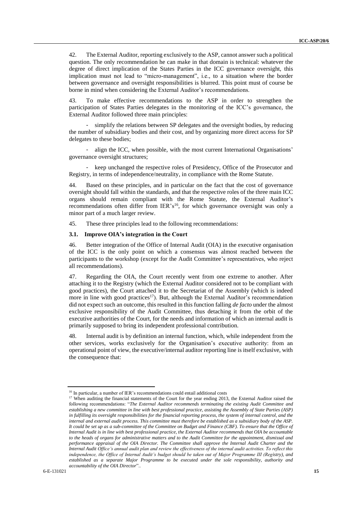42. The External Auditor, reporting exclusively to the ASP, cannot answer such a political question. The only recommendation he can make in that domain is technical: whatever the degree of direct implication of the States Parties in the ICC governance oversight, this implication must not lead to "micro-management", i.e., to a situation where the border between governance and oversight responsibilities is blurred. This point must of course be borne in mind when considering the External Auditor's recommendations.

43. To make effective recommendations to the ASP in order to strengthen the participation of States Parties delegates in the monitoring of the ICC's governance, the External Auditor followed three main principles:

simplify the relations between SP delegates and the oversight bodies, by reducing the number of subsidiary bodies and their cost, and by organizing more direct access for SP delegates to these bodies;

align the ICC, when possible, with the most current International Organisations' governance oversight structures;

keep unchanged the respective roles of Presidency, Office of the Prosecutor and Registry, in terms of independence/neutrality, in compliance with the Rome Statute.

44. Based on these principles, and in particular on the fact that the cost of governance oversight should fall within the standards, and that the respective roles of the three main ICC organs should remain compliant with the Rome Statute, the External Auditor's recommendations often differ from  $IER's<sup>16</sup>$ , for which governance oversight was only a minor part of a much larger review.

45. These three principles lead to the following recommendations:

#### <span id="page-14-0"></span>**3.1. Improve OIA's integration in the Court**

46. Better integration of the Office of Internal Audit (OIA) in the executive organisation of the ICC is the only point on which a consensus was almost reached between the participants to the workshop (except for the Audit Committee's representatives, who reject all recommendations).

47. Regarding the OIA, the Court recently went from one extreme to another. After attaching it to the Registry (which the External Auditor considered not to be compliant with good practices), the Court attached it to the Secretariat of the Assembly (which is indeed more in line with good practices<sup>17</sup>). But, although the External Auditor's recommendation did not expect such an outcome, this resulted in this function falling *de facto* under the almost exclusive responsibility of the Audit Committee, thus detaching it from the orbit of the executive authorities of the Court, for the needs and information of which an internal audit is primarily supposed to bring its independent professional contribution.

48. Internal audit is by definition an internal function, which, while independent from the other services, works exclusively for the Organisation's executive authority: from an operational point of view, the executive/internal auditor reporting line is itself exclusive, with the consequence that:

<sup>&</sup>lt;sup>16</sup> In particular, a number of IER's recommendations could entail additional costs

<sup>&</sup>lt;sup>17</sup> When auditing the financial statements of the Court for the year ending 2013, the External Auditor raised the following recommendations: "*The External Auditor recommends terminating the existing Audit Committee and establishing a new committee in line with best professional practice, assisting the Assembly of State Parties (ASP) in fulfilling its oversight responsibilities for the financial reporting process, the system of internal control, and the internal and external audit process. This committee must therefore be established as a subsidiary body of the ASP. It could be set up as a sub-committee of the Committee on Budget and Finance (CBF). To ensure that the Office of Internal Audit is in line with best professional practice, the External Auditor recommends that OIA be accountable to the heads of organs for administrative matters and to the Audit Committee for the appointment, dismissal and performance appraisal of the OIA Director. The Committee shall approve the Internal Audit Charter and the Internal Audit Office's annual audit plan and review the effectiveness of the internal audit activities. To reflect this independence, the Office of Internal Audit's budget should be taken out of Major Programme III (Registry), and established as a separate Major Programme to be executed under the sole responsibility, authority and accountability of the OIA Director*"..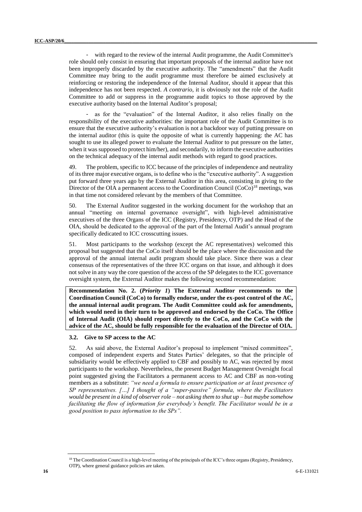with regard to the review of the internal Audit programme, the Audit Committee's role should only consist in ensuring that important proposals of the internal auditor have not been improperly discarded by the executive authority. The "amendments" that the Audit Committee may bring to the audit programme must therefore be aimed exclusively at reinforcing or restoring the independence of the Internal Auditor, should it appear that this independence has not been respected. *A contrario*, it is obviously not the role of the Audit Committee to add or suppress in the programme audit topics to those approved by the executive authority based on the Internal Auditor's proposal;

as for the "evaluation" of the Internal Auditor, it also relies finally on the responsibility of the executive authorities: the important role of the Audit Committee is to ensure that the executive authority's evaluation is not a backdoor way of putting pressure on the internal auditor (this is quite the opposite of what is currently happening: the AC has sought to use its alleged power to evaluate the Internal Auditor to put pressure on the latter, when it was supposed to protect him/her), and secondarily, to inform the executive authorities on the technical adequacy of the internal audit methods with regard to good practices.

49. The problem, specific to ICC because of the principles of independence and neutrality of its three major executive organs, is to define who is the "executive authority". A suggestion put forward three years ago by the External Auditor in this area, consisting in giving to the Director of the OIA a permanent access to the Coordination Council (CoCo)<sup>18</sup> meetings, was in that time not considered relevant by the members of that Committee.

50. The External Auditor suggested in the working document for the workshop that an annual "meeting on internal governance oversight", with high-level administrative executives of the three Organs of the ICC (Registry, Presidency, OTP) and the Head of the OIA, should be dedicated to the approval of the part of the Internal Audit's annual program specifically dedicated to ICC crosscutting issues.

51. Most participants to the workshop (except the AC representatives) welcomed this proposal but suggested that the CoCo itself should be the place where the discussion and the approval of the annual internal audit program should take place. Since there was a clear consensus of the representatives of the three ICC organs on that issue, and although it does not solve in any way the core question of the access of the SP delegates to the ICC governance oversight system, the External Auditor makes the following second recommendation:

**Recommendation No. 2. (***Priority 1***) The External Auditor recommends to the Coordination Council (CoCo) to formally endorse, under the ex-post control of the AC, the annual internal audit program. The Audit Committee could ask for amendments, which would need in their turn to be approved and endorsed by the CoCo. The Office of Internal Audit (OIA) should report directly to the CoCo, and the CoCo with the advice of the AC, should be fully responsible for the evaluation of the Director of OIA.**

#### <span id="page-15-0"></span>**3.2. Give to SP access to the AC**

52. As said above, the External Auditor's proposal to implement "mixed committees", composed of independent experts and States Parties' delegates, so that the principle of subsidiarity would be effectively applied to CBF and possibly to AC, was rejected by most participants to the workshop. Nevertheless, the present Budget Management Oversight focal point suggested giving the Facilitators a permanent access to AC and CBF as non-voting members as a substitute: *"we need a formula to ensure participation or at least presence of SP representatives. […] I thought of a "super-passive" formula, where the Facilitators would be present in a kind of observer role – not asking them to shut up – but maybe somehow facilitating the flow of information for everybody's benefit. The Facilitator would be in a good position to pass information to the SPs".*

<sup>&</sup>lt;sup>18</sup> The Coordination Council is a high-level meeting of the principals of the ICC's three organs (Registry, Presidency,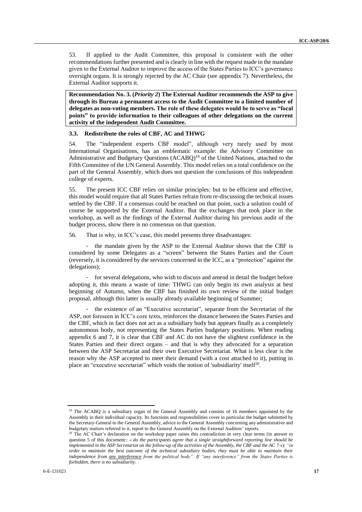53. If applied to the Audit Committee, this proposal is consistent with the other recommendations further presented and is clearly in line with the request made in the mandate given to the External Auditor to improve the access of the States Parties to ICC's governance oversight organs. It is strongly rejected by the AC Chair (see appendix 7). Nevertheless, the External Auditor supports it.

**Recommendation No. 3. (***Priority 2***) The External Auditor recommends the ASP to give through its Bureau a permanent access to the Audit Committee to a limited number of delegates as non-voting members. The role of these delegates would be to serve as "focal points" to provide information to their colleagues of other delegations on the current activity of the independent Audit Committee.**

#### <span id="page-16-0"></span>**3.3. Redistribute the roles of CBF, AC and THWG**

54. The "independent experts CBF model", although very rarely used by most International Organisations, has an emblematic example: the Advisory Committee on Administrative and Budgetary Questions (ACABQ)<sup>19</sup> of the United Nations, attached to the Fifth Committee of the UN General Assembly. This model relies on a total confidence on the part of the General Assembly, which does not question the conclusions of this independent college of experts.

55. The present ICC CBF relies on similar principles: but to be efficient and effective, this model would require that all States Parties refrain from re-discussing the technical issues settled by the CBF. If a consensus could be reached on that point, such a solution could of course be supported by the External Auditor. But the exchanges that took place in the workshop, as well as the findings of the External Auditor during his previous audit of the budget process, show there is no consensus on that question.

56. That is why, in ICC's case, this model presents three disadvantages:

- the mandate given by the ASP to the External Auditor shows that the CBF is considered by some Delegates as a "screen" between the States Parties and the Court (reversely, it is considered by the services concerned in the ICC, as a "protection" against the delegations);

for several delegations, who wish to discuss and amend in detail the budget before adopting it, this means a waste of time: THWG can only begin its own analysis at best beginning of Autumn, when the CBF has finished its own review of the initial budget proposal, although this latter is usually already available beginning of Summer;

- the existence of an "Executive secretariat", separate from the Secretariat of the ASP, not foreseen in ICC's core texts, reinforces the distance between the States Parties and the CBF, which in fact does not act as a subsidiary body but appears finally as a completely autonomous body, not representing the States Parties budgetary positions. When reading appendix 6 and 7, it is clear that CBF and AC do not have the slightest confidence in the States Parties and their direct organs – and that is why they advocated for a separation between the ASP Secretariat and their own Executive Secretariat. What is less clear is the reason why the ASP accepted to meet their demand (with a cost attached to it), putting in place an "executive secretariat" which voids the notion of 'subsidiarity' itself $20$ .

<sup>&</sup>lt;sup>19</sup> The ACABQ is a subsidiary organ of the General Assembly and consists of 16 members appointed by the Assembly in their individual capacity. Its functions and responsibilities cover in particular the budget submitted by the Secretary-General to the General Assembly, advice to the General Assembly concerning any administrative and budgetary matters referred to it, report to the General Assembly on the External Auditors' reports.

<sup>&</sup>lt;sup>20</sup> The AC Chair's declaration on the workshop paper raises this contradiction in very clear terms (in answer to question 5 of this document:: *« do the participants agree that a single straightforward reporting line should be implemented in the ASP Secretariat on the follow-up of the activities of the Assembly, the CBF and the AC ?* »): *"in order to maintain the best outcome of the technical subsidiary bodies, they must be able to maintain their independence from any interference from the political body". If "any interference" from the States Parties is forbidden, there is no subsidiarity.*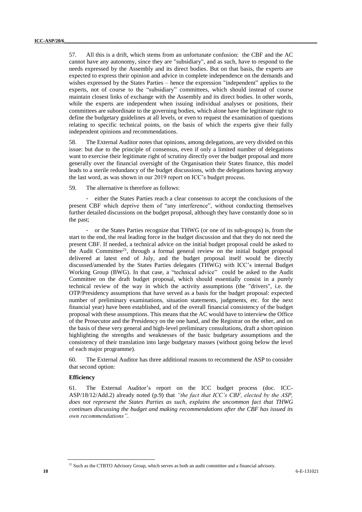57. All this is a drift, which stems from an unfortunate confusion: the CBF and the AC cannot have any autonomy, since they are "subsidiary", and as such, have to respond to the needs expressed by the Assembly and its direct bodies. But on that basis, the experts are expected to express their opinion and advice in complete independence on the demands and wishes expressed by the States Parties – hence the expression "independent" applies to the experts, not of course to the "subsidiary" committees, which should instead of course maintain closest links of exchange with the Assembly and its direct bodies. In other words, while the experts are independent when issuing individual analyses or positions, their committees are subordinate to the governing bodies, which alone have the legitimate right to define the budgetary guidelines at all levels, or even to request the examination of questions relating to specific technical points, on the basis of which the experts give their fully independent opinions and recommendations.

58. The External Auditor notes that opinions, among delegations, are very divided on this issue: but due to the principle of consensus, even if only a limited number of delegations want to exercise their legitimate right of scrutiny directly over the budget proposal and more generally over the financial oversight of the Organisation their States finance, this model leads to a sterile redundancy of the budget discussions, with the delegations having anyway the last word, as was shown in our 2019 report on ICC's budget process.

59. The alternative is therefore as follows:

- either the States Parties reach a clear consensus to accept the conclusions of the present CBF which deprive them of "any interference", without conducting themselves further detailed discussions on the budget proposal, although they have constantly done so in the past;

- or the States Parties recognize that THWG (or one of its sub-groups) is, from the start to the end, the real leading force in the budget discussion and that they do not need the present CBF. If needed, a technical advice on the initial budget proposal could be asked to the Audit Committee<sup>21</sup>, through a formal general review on the initial budget proposal delivered at latest end of July, and the budget proposal itself would be directly discussed/amended by the States Parties delegates (THWG) with ICC's internal Budget Working Group (BWG). In that case, a "technical advice" could be asked to the Audit Committee on the draft budget proposal, which should essentially consist in a purely technical review of the way in which the activity assumptions (the "drivers", i.e. the OTP/Presidency assumptions that have served as a basis for the budget proposal: expected number of preliminary examinations, situation statements, judgments, etc. for the next financial year) have been established, and of the overall financial consistency of the budget proposal with these assumptions. This means that the AC would have to interview the Office of the Prosecutor and the Presidency on the one hand, and the Registrar on the other, and on the basis of these very general and high-level preliminary consultations, draft a short opinion highlighting the strengths and weaknesses of the basic budgetary assumptions and the consistency of their translation into large budgetary masses (without going below the level of each major programme).

60. The External Auditor has three additional reasons to recommend the ASP to consider that second option:

#### **Efficiency**

61. The External Auditor's report on the ICC budget process (doc. ICC-ASP/18/12/Add.2) already noted (p.9) that *"the fact that ICC's CBF, elected by the ASP, does not represent the States Parties as such, explains the uncommon fact that THWG continues discussing the budget and making recommendations after the CBF has issued its own recommendations".*

<sup>&</sup>lt;sup>21</sup> Such as the CTBTO Advisory Group, which serves as both an audit committee and a financial advisory.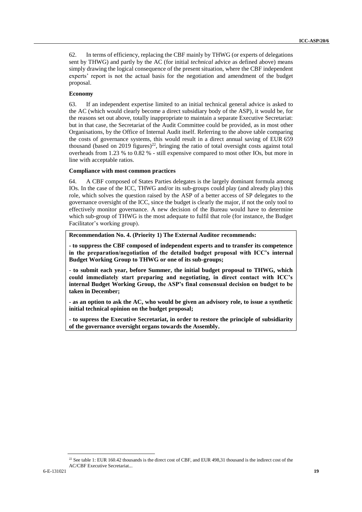62. In terms of efficiency, replacing the CBF mainly by THWG (or experts of delegations sent by THWG) and partly by the AC (for initial *technical* advice as defined above) means simply drawing the logical consequence of the present situation, where the CBF independent experts' report is not the actual basis for the negotiation and amendment of the budget proposal.

#### **Economy**

63. If an independent expertise limited to an initial technical general advice is asked to the AC (which would clearly become a direct subsidiary body of the ASP), it would be, for the reasons set out above, totally inappropriate to maintain a separate Executive Secretariat: but in that case, the Secretariat of the Audit Committee could be provided, as in most other Organisations, by the Office of Internal Audit itself. Referring to the above table comparing the costs of governance systems, this would result in a direct annual saving of EUR 659 thousand (based on 2019 figures)<sup>22</sup>, bringing the ratio of total oversight costs against total overheads from 1.23 % to 0.82 % - still expensive compared to most other IOs, but more in line with acceptable ratios.

#### **Compliance with most common practices**

64. A CBF composed of States Parties delegates is the largely dominant formula among IOs. In the case of the ICC, THWG and/or its sub-groups could play (and already play) this role, which solves the question raised by the ASP of a better access of SP delegates to the governance oversight of the ICC, since the budget is clearly the major, if not the only tool to effectively monitor governance. A new decision of the Bureau would have to determine which sub-group of THWG is the most adequate to fulfil that role (for instance, the Budget Facilitator's working group).

#### **Recommendation No. 4. (Priority 1) The External Auditor recommends:**

**- to suppress the CBF composed of independent experts and to transfer its competence in the preparation/negotiation of the detailed budget proposal with ICC's internal Budget Working Group to THWG or one of its sub-groups;**

**- to submit each year, before Summer, the initial budget proposal to THWG, which could immediately start preparing and negotiating, in direct contact with ICC's internal Budget Working Group, the ASP's final consensual decision on budget to be taken in December;**

**- as an option to ask the AC, who would be given an advisory role, to issue a synthetic initial technical opinion on the budget proposal;**

**- to supress the Executive Secretariat, in order to restore the principle of subsidiarity of the governance oversight organs towards the Assembly.**

<sup>&</sup>lt;sup>22</sup> See table 1: EUR 160.42 thousands is the direct cost of CBF, and EUR 498,31 thousand is the indirect cost of the AC/CBF Executive Secretariat...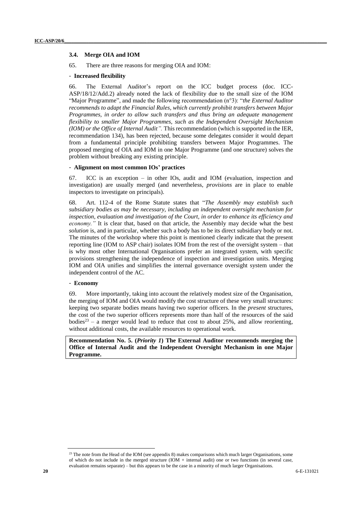#### <span id="page-19-0"></span>**3.4. Merge OIA and IOM**

65. There are three reasons for merging OIA and IOM:

#### - **Increased flexibility**

66. The External Auditor's report on the ICC budget process (doc. ICC-ASP/18/12/Add.2) already noted the lack of flexibility due to the small size of the IOM "Major Programme", and made the following recommendation (n°3): "*the External Auditor recommends to adapt the Financial Rules, which currently prohibit transfers between Major Programmes, in order to allow such transfers and thus bring an adequate management flexibility to smaller Major Programmes, such as the Independent Oversight Mechanism (IOM) or the Office of Internal Audit".* This recommendation (which is supported in the IER, recommendation 134), has been rejected, because some delegates consider it would depart from a fundamental principle prohibiting transfers between Major Programmes. The proposed merging of OIA and IOM in one Major Programme (and one structure) solves the problem without breaking any existing principle.

#### - **Alignment on most common IOs' practices**

67. ICC is an exception – in other IOs, audit and IOM (evaluation, inspection and investigation) are usually merged (and nevertheless, *provisions* are in place to enable inspectors to investigate on principals).

68. Art. 112-4 of the Rome Statute states that "*The Assembly may establish such subsidiary bodies as may be necessary, including an independent oversight mechanism for inspection, evaluation and investigation of the Court, in order to enhance its efficiency and economy."* It is clear that, based on that article, the Assembly may decide what the best *solution* is, and in particular, whether such a body has to be its direct subsidiary body or not. The minutes of the workshop where this point is mentioned clearly indicate that the present reporting line (IOM to ASP chair) isolates IOM from the rest of the oversight system – that is why most other International Organisations prefer an integrated system, with specific provisions strengthening the independence of inspection and investigation units. Merging IOM and OIA unifies and simplifies the internal governance oversight system under the independent control of the AC.

#### - **Economy**

69. More importantly, taking into account the relatively modest size of the Organisation, the merging of IOM and OIA would modify the cost structure of these very small structures: keeping two separate bodies means having two superior officers. In the *present* structures, the cost of the two superior officers represents more than half of the resources of the said bodies<sup>23</sup> – a merger would lead to reduce that cost to about 25%, and allow reorienting, without additional costs, the available resources to operational work.

<span id="page-19-1"></span>**Recommendation No. 5. (***Priority 1***) The External Auditor recommends merging the Office of Internal Audit and the Independent Oversight Mechanism in one Major Programme.**

<sup>&</sup>lt;sup>23</sup> The note from the Head of the IOM (see appendix 8) makes comparisons which much larger Organisations, some of which do not include in the merged structure (IOM + internal audit) one or two functions (in several case, evaluation remains separate) – but this appears to be the case in a minority of much larger Organisations.